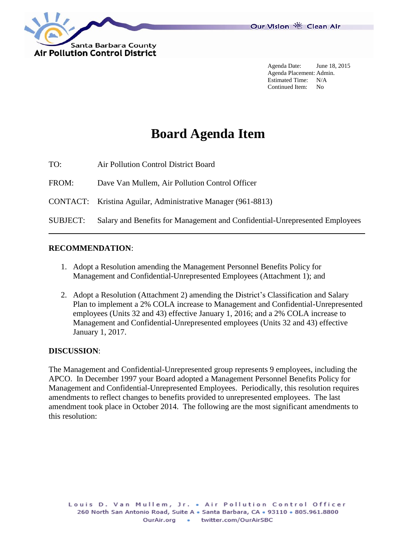

Agenda Date: June 18, 2015 Agenda Placement: Admin. Estimated Time: N/A Continued Item: No

# **Board Agenda Item**

TO: Air Pollution Control District Board FROM: Dave Van Mullem, Air Pollution Control Officer CONTACT: Kristina Aguilar, Administrative Manager (961-8813) SUBJECT: Salary and Benefits for Management and Confidential-Unrepresented Employees

#### **RECOMMENDATION**:

- 1. Adopt a Resolution amending the Management Personnel Benefits Policy for Management and Confidential-Unrepresented Employees (Attachment 1); and
- 2. Adopt a Resolution (Attachment 2) amending the District's Classification and Salary Plan to implement a 2% COLA increase to Management and Confidential-Unrepresented employees (Units 32 and 43) effective January 1, 2016; and a 2% COLA increase to Management and Confidential-Unrepresented employees (Units 32 and 43) effective January 1, 2017.

#### **DISCUSSION**:

The Management and Confidential-Unrepresented group represents 9 employees, including the APCO. In December 1997 your Board adopted a Management Personnel Benefits Policy for Management and Confidential-Unrepresented Employees. Periodically, this resolution requires amendments to reflect changes to benefits provided to unrepresented employees. The last amendment took place in October 2014. The following are the most significant amendments to this resolution: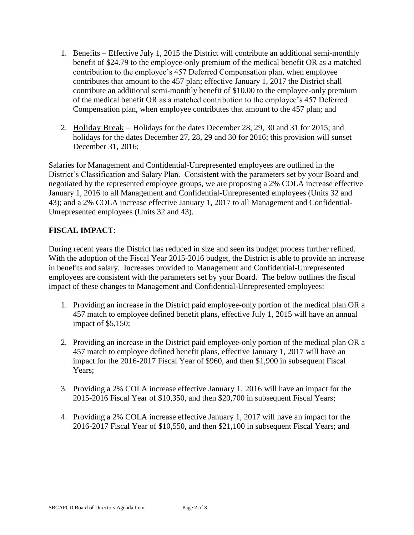- 1. Benefits Effective July 1, 2015 the District will contribute an additional semi-monthly benefit of \$24.79 to the employee-only premium of the medical benefit OR as a matched contribution to the employee's 457 Deferred Compensation plan, when employee contributes that amount to the 457 plan; effective January 1, 2017 the District shall contribute an additional semi-monthly benefit of \$10.00 to the employee-only premium of the medical benefit OR as a matched contribution to the employee's 457 Deferred Compensation plan, when employee contributes that amount to the 457 plan; and
- 2. Holiday Break Holidays for the dates December 28, 29, 30 and 31 for 2015; and holidays for the dates December 27, 28, 29 and 30 for 2016; this provision will sunset December 31, 2016;

Salaries for Management and Confidential-Unrepresented employees are outlined in the District's Classification and Salary Plan. Consistent with the parameters set by your Board and negotiated by the represented employee groups, we are proposing a 2% COLA increase effective January 1, 2016 to all Management and Confidential-Unrepresented employees (Units 32 and 43); and a 2% COLA increase effective January 1, 2017 to all Management and Confidential-Unrepresented employees (Units 32 and 43).

### **FISCAL IMPACT**:

During recent years the District has reduced in size and seen its budget process further refined. With the adoption of the Fiscal Year 2015-2016 budget, the District is able to provide an increase in benefits and salary. Increases provided to Management and Confidential-Unrepresented employees are consistent with the parameters set by your Board. The below outlines the fiscal impact of these changes to Management and Confidential-Unrepresented employees:

- 1. Providing an increase in the District paid employee-only portion of the medical plan OR a 457 match to employee defined benefit plans, effective July 1, 2015 will have an annual impact of \$5,150;
- 2. Providing an increase in the District paid employee-only portion of the medical plan OR a 457 match to employee defined benefit plans, effective January 1, 2017 will have an impact for the 2016-2017 Fiscal Year of \$960, and then \$1,900 in subsequent Fiscal Years:
- 3. Providing a 2% COLA increase effective January 1, 2016 will have an impact for the 2015-2016 Fiscal Year of \$10,350, and then \$20,700 in subsequent Fiscal Years;
- 4. Providing a 2% COLA increase effective January 1, 2017 will have an impact for the 2016-2017 Fiscal Year of \$10,550, and then \$21,100 in subsequent Fiscal Years; and